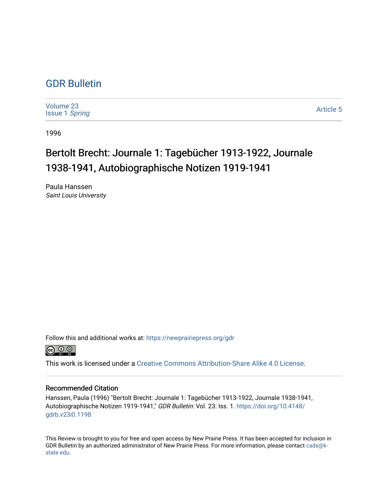## [GDR Bulletin](https://newprairiepress.org/gdr)

[Volume 23](https://newprairiepress.org/gdr/vol23) [Issue 1](https://newprairiepress.org/gdr/vol23/iss1) Spring

[Article 5](https://newprairiepress.org/gdr/vol23/iss1/5) 

1996

# Bertolt Brecht: Journale 1: Tagebücher 1913-1922, Journale 1938-1941, Autobiographische Notizen 1919-1941

Paula Hanssen Saint Louis University

Follow this and additional works at: [https://newprairiepress.org/gdr](https://newprairiepress.org/gdr?utm_source=newprairiepress.org%2Fgdr%2Fvol23%2Fiss1%2F5&utm_medium=PDF&utm_campaign=PDFCoverPages) 



This work is licensed under a [Creative Commons Attribution-Share Alike 4.0 License.](https://creativecommons.org/licenses/by-sa/4.0/)

### Recommended Citation

Hanssen, Paula (1996) "Bertolt Brecht: Journale 1: Tagebücher 1913-1922, Journale 1938-1941, Autobiographische Notizen 1919-1941," GDR Bulletin: Vol. 23: Iss. 1. [https://doi.org/10.4148/](https://doi.org/10.4148/gdrb.v23i0.1198) [gdrb.v23i0.1198](https://doi.org/10.4148/gdrb.v23i0.1198)

This Review is brought to you for free and open access by New Prairie Press. It has been accepted for inclusion in GDR Bulletin by an authorized administrator of New Prairie Press. For more information, please contact [cads@k](mailto:cads@k-state.edu)[state.edu](mailto:cads@k-state.edu).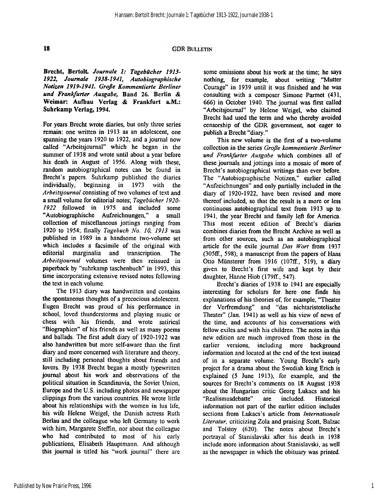#### 18 GDR BULLETIN

Brecht, Bertolt *Journale 1: Tagebücher 1913- 1922, Journale 1938-1941, Autobiographische Notizen 1919-1941. Große Kommentierte Berliner und Frankfurter Ausgabe,* Band 26. Berlin & Weimar: Aufbau Verlag & Frankfurt a.M.: Suhrkamp Verlag, 1994.

For years Brecht wrote diaries, but only three series remain: one written in 1913 as an adolescent, one spanning the years 1920 to 1922, and a journal now called "Arbeitsjournal" which he began in the summer of 1938 and wrote until about a year before his death in August of 1956. Along with these, random autobiographical notes can be found in Brecht's papers. Suhrkamp published the diaries individually, beginning in 1973 with the *Arbeitsjournal* consisting of two volumes of text and a small volume for editorial notes; *Tagebücher 1920- 1922* followed in 1975 and included some "Autobiographische Aufzeichnungen," a small collection of miscellaneous jottings ranging from 1920 to 1954; finally *Tagebuch No. 10, 1913* was published in 1989 in a handsome two-volume set which includes a facsimile of the original with editorial marginalia and transcription. The *Arbeitsjournal* volumes were then reissued in paperback by "suhrkamp taschenbuch" in 1993, this time incorporating extensive revised notes following the text in each volume.

The 1913 diary was handwritten and contains the spontaneous thoughts of a precocious adolescent. Eugen Brecht was proud of his performance in school, loved thunderstorms and playing music or chess with his friends, and wrote satirical "Biographien" of his friends as well as many poems and ballads. The first adult diary of 1920-1922 was also handwritten but more self-aware than the first diary and more concerned with literature and theory, still including personal thoughts about friends and lovers. By 1938 Brecht began a mostly typewritten journal about his work and observations of the political situation in Scandinavia, the Soviet Union, Europe and the U.S. including photos and newspaper clippings from the various countries. He wrote little about his relationships with the women in his life, his wife Helene Weigel, the Danish actress Ruth Berlau and the colleague who left Germany to work with him, Margarete Steffin, nor about the colleague who had contributed to most of his early publications, Elisabeth Hauptmann. And although this journal is titled his "work journal" there are

some omissions about his work at the time; he says nothing, for example, about writing "Mutter Courage" in 1939 until it was finished and he was consulting with a composer Simone Parmet (431, 666) in October 1940. The journal was first called "Arbeitsjournal" by Helene Weigel, who claimed Brecht had used the term and who thereby avoided censorship of the GDR government, not eager to publish a Brecht "diary."

This new volume is the first of a two-volume collection in the series *Große kommentierte Berliner und Frankfurter Ausgabe* which combines all of these journals and jottings into a mosaic of more of Brecht's autobiographical writings than ever before. The "Autobiographische Notizen," earlier called "Aufzeichnungen" and only partially included in the diary of 1920-1922, have been revised and more thereof included, so that the result is a more or less continuous autobiographical text from 1913 up to 1941, the year Brecht and family left for America. This most recent edition of Brecht's diaries combines diaries from the Brecht Archive as well as from other sources, such as an autobiographical article for the exile journal *Das Wort* from 1937 (305ff, 598), a manuscript from the papers of Hans Otto Münsterer from 1916 (107ff., 519), a diary given to Brecht's first wife and kept by their daughter, Hanne Hiob (179ff., 547).

Brecht's diaries of 1938 to 1941 are especially interesting for scholars for here one finds his explanations of his theories of, for example, "Theater der Verfremdung" and "das nichtaristotelische Theater" (Jan. 1941) as well as his view of news of the time, and accounts of his conversations with fellow exiles and with his children. The notes in this new edition are much improved from those in the earlier versions, including more background information and located at the end of the text instead of in a separate volume. Young Brecht's early project for a drama about the Swedish king Erich is explained (5 June 1913), for example, and the sources for Brecht's comments on 18 August 1938 about the Hungarian critic Georg Lukacs and his "Realismusdebatte" are included. Historical information not part of the earlier edition includes sections from Lukacs's article from *Internationale Literatur,* criticizing Zola and praising Scott, Balzac and Tolstoy (620). The notes about Brecht's portrayal of Stanislavski after his death in 1938 include more information about Stanislavski, as well as the newspaper in which the obituary was printed.